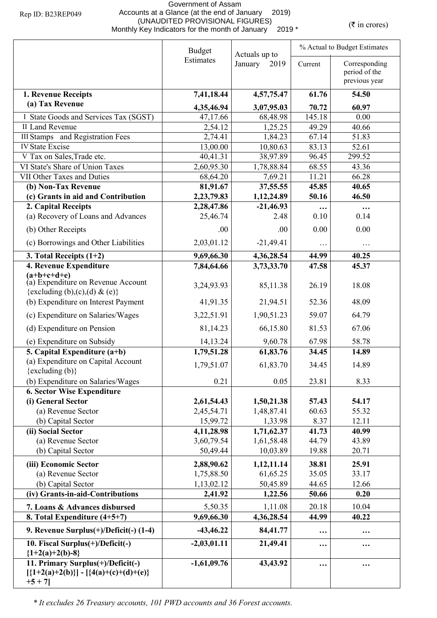## Government of Assam Accounts at a Glance (at the end of January 2019) (UNAUDITED PROVISIONAL FIGURES)<br>Monthly Key Indicators for the month of January 2019 \* (₹ in crores)

|                                                                        | <b>Budget</b><br>Actuals up to |                        |                 | % Actual to Budget Estimates                    |  |
|------------------------------------------------------------------------|--------------------------------|------------------------|-----------------|-------------------------------------------------|--|
|                                                                        | Estimates                      | January<br>2019        | Current         | Corresponding<br>period of the<br>previous year |  |
| 1. Revenue Receipts                                                    | 7,41,18.44                     | 4,57,75.47             | 61.76           | 54.50                                           |  |
| (a) Tax Revenue                                                        |                                |                        |                 |                                                 |  |
| I State Goods and Services Tax (SGST)                                  | 4,35,46.94<br>47,17.66         | 3,07,95.03<br>68,48.98 | 70.72<br>145.18 | 60.97<br>0.00                                   |  |
| II Land Revenue                                                        | 2,54.12                        | 1,25.25                | 49.29           | 40.66                                           |  |
| <b>III Stamps</b> and Registration Fees                                | 2,74.41                        | 1,84.23                | 67.14           | 51.83                                           |  |
| <b>IV State Excise</b>                                                 | 13,00.00                       | 10,80.63               | 83.13           | 52.61                                           |  |
| V Tax on Sales, Trade etc.                                             | 40,41.31                       | 38,97.89               | 96.45           | 299.52                                          |  |
| VI State's Share of Union Taxes                                        | 2,60,95.30                     | 1,78,88.84             | 68.55           | 43.36                                           |  |
| VII Other Taxes and Duties                                             | 68,64.20                       | 7,69.21                | 11.21           | 66.28                                           |  |
| (b) Non-Tax Revenue                                                    | 81,91.67                       | 37,55.55               | 45.85           | 40.65                                           |  |
| (c) Grants in aid and Contribution                                     | 2,23,79.83                     | 1,12,24.89             | 50.16           | 46.50                                           |  |
| 2. Capital Receipts                                                    | 2,28,47.86                     | $-21,46.93$            | $\ddotsc$       | $\cdots$                                        |  |
| (a) Recovery of Loans and Advances                                     | 25,46.74                       | 2.48                   | 0.10            | 0.14                                            |  |
| (b) Other Receipts                                                     | .00                            | .00.                   | 0.00            | 0.00                                            |  |
| (c) Borrowings and Other Liabilities                                   | 2,03,01.12                     | $-21,49.41$            | $\cdots$        | .                                               |  |
| 3. Total Receipts $(1+2)$                                              | 9,69,66.30                     | 4,36,28.54             | 44.99           | 40.25                                           |  |
| 4. Revenue Expenditure                                                 | 7,84,64.66                     | 3,73,33.70             | 47.58           | 45.37                                           |  |
| $(a+b+c+d+e)$<br>(a) Expenditure on Revenue Account                    | 3,24,93.93                     | 85,11.38               | 26.19           | 18.08                                           |  |
| {excluding (b),(c),(d) & (e)}                                          |                                |                        |                 |                                                 |  |
| (b) Expenditure on Interest Payment                                    | 41,91.35                       | 21,94.51               | 52.36           | 48.09                                           |  |
| (c) Expenditure on Salaries/Wages                                      | 3,22,51.91                     | 1,90,51.23             | 59.07           | 64.79                                           |  |
| (d) Expenditure on Pension                                             | 81,14.23                       | 66,15.80               | 81.53           | 67.06                                           |  |
| (e) Expenditure on Subsidy                                             | 14, 13.24                      | 9,60.78                | 67.98           | 58.78                                           |  |
| 5. Capital Expenditure $(a+b)$                                         | 1,79,51.28                     | 61,83.76               | 34.45           | 14.89                                           |  |
| (a) Expenditure on Capital Account                                     | 1,79,51.07                     | 61,83.70               | 34.45           | 14.89                                           |  |
| $\{excluding (b)\}$                                                    |                                |                        |                 |                                                 |  |
| (b) Expenditure on Salaries/Wages<br><b>6. Sector Wise Expenditure</b> | 0.21                           | 0.05                   | 23.81           | 8.33                                            |  |
| (i) General Sector                                                     | 2,61,54.43                     | 1,50,21.38             | 57.43           | 54.17                                           |  |
| (a) Revenue Sector                                                     | 2,45,54.71                     | 1,48,87.41             | 60.63           | 55.32                                           |  |
| (b) Capital Sector                                                     | 15,99.72                       | 1,33.98                | 8.37            | 12.11                                           |  |
| (ii) Social Sector                                                     | 4,11,28.98                     | 1,71,62.37             | 41.73           | 40.99                                           |  |
| (a) Revenue Sector                                                     | 3,60,79.54                     | 1,61,58.48             | 44.79           | 43.89                                           |  |
| (b) Capital Sector                                                     | 50,49.44                       | 10,03.89               | 19.88           | 20.71                                           |  |
| (iii) Economic Sector                                                  | 2,88,90.62                     | 1,12,11.14             | 38.81           | 25.91                                           |  |
| (a) Revenue Sector                                                     | 1,75,88.50                     | 61,65.25               | 35.05           | 33.17                                           |  |
| (b) Capital Sector                                                     | 1,13,02.12                     | 50,45.89               | 44.65           | 12.66                                           |  |
| (iv) Grants-in-aid-Contributions                                       | 2,41.92                        | 1,22.56                | 50.66           | 0.20                                            |  |
| 7. Loans & Advances disbursed                                          | 5,50.35                        | 1,11.08                | 20.18           | 10.04                                           |  |
| 8. Total Expenditure (4+5+7)                                           | 9,69,66.30                     | 4,36,28.54             | 44.99           | 40.22                                           |  |
| 9. Revenue Surplus(+)/Deficit(-) (1-4)                                 | $-43,46.22$                    | 84,41.77               | $\cdots$        |                                                 |  |
| 10. Fiscal Surplus(+)/Deficit(-)<br>${1+2(a)+2(b)-8}$                  | $-2,03,01.11$                  | 21,49.41               | $\cdots$        |                                                 |  |
| 11. Primary Surplus(+)/Deficit(-)                                      | $-1,61,09.76$                  | 43,43.92               | $\ddotsc$       | $\ddotsc$                                       |  |
| $[\{1+2(a)+2(b)\}] - [\{4(a)+(c)+(d)+(e)\}]$<br>$+5 + 7$ ]             |                                |                        |                 |                                                 |  |
|                                                                        |                                |                        |                 |                                                 |  |

*\* It excludes 26 Treasury accounts, 101 PWD accounts and 36 Forest accounts.*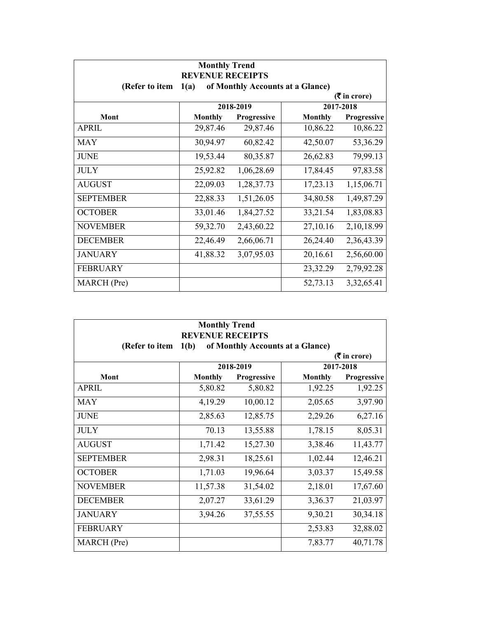| <b>Monthly Trend</b><br><b>REVENUE RECEIPTS</b> |                                          |             |                |               |  |  |
|-------------------------------------------------|------------------------------------------|-------------|----------------|---------------|--|--|
| (Refer to item                                  | of Monthly Accounts at a Glance)<br>1(a) |             |                |               |  |  |
| $($ ₹ in crore)                                 |                                          |             |                |               |  |  |
|                                                 |                                          | 2018-2019   |                | 2017-2018     |  |  |
| Mont                                            | <b>Monthly</b>                           | Progressive | <b>Monthly</b> | Progressive   |  |  |
| <b>APRIL</b>                                    | 29,87.46                                 | 29,87.46    | 10,86.22       | 10,86.22      |  |  |
| <b>MAY</b>                                      | 30,94.97                                 | 60,82.42    | 42,50.07       | 53, 36. 29    |  |  |
| <b>JUNE</b>                                     | 19,53.44                                 | 80,35.87    | 26,62.83       | 79,99.13      |  |  |
| <b>JULY</b>                                     | 25,92.82                                 | 1,06,28.69  | 17,84.45       | 97,83.58      |  |  |
| <b>AUGUST</b>                                   | 22,09.03                                 | 1,28,37.73  | 17,23.13       | 1,15,06.71    |  |  |
| <b>SEPTEMBER</b>                                | 22,88.33                                 | 1,51,26.05  | 34,80.58       | 1,49,87.29    |  |  |
| <b>OCTOBER</b>                                  | 33,01.46                                 | 1,84,27.52  | 33,21.54       | 1,83,08.83    |  |  |
| <b>NOVEMBER</b>                                 | 59,32.70                                 | 2,43,60.22  | 27,10.16       | 2,10,18.99    |  |  |
| <b>DECEMBER</b>                                 | 22,46.49                                 | 2,66,06.71  | 26,24.40       | 2,36,43.39    |  |  |
| <b>JANUARY</b>                                  | 41,88.32                                 | 3,07,95.03  | 20,16.61       | 2,56,60.00    |  |  |
| <b>FEBRUARY</b>                                 |                                          |             | 23,32.29       | 2,79,92.28    |  |  |
| MARCH (Pre)                                     |                                          |             | 52,73.13       | 3, 32, 65. 41 |  |  |

| <b>Monthly Trend</b><br><b>REVENUE RECEIPTS</b>         |                                          |             |                |             |  |
|---------------------------------------------------------|------------------------------------------|-------------|----------------|-------------|--|
| (Refer to item                                          | of Monthly Accounts at a Glance)<br>1(b) |             |                |             |  |
| $(5 \text{ in } \text{core})$<br>2018-2019<br>2017-2018 |                                          |             |                |             |  |
| Mont                                                    | <b>Monthly</b>                           | Progressive | <b>Monthly</b> | Progressive |  |
| <b>APRIL</b>                                            | 5,80.82                                  | 5,80.82     | 1,92.25        | 1,92.25     |  |
| <b>MAY</b>                                              | 4,19.29                                  | 10,00.12    | 2,05.65        | 3,97.90     |  |
| <b>JUNE</b>                                             | 2,85.63                                  | 12,85.75    | 2,29.26        | 6,27.16     |  |
| <b>JULY</b>                                             | 70.13                                    | 13,55.88    | 1,78.15        | 8,05.31     |  |
| <b>AUGUST</b>                                           | 1,71.42                                  | 15,27.30    | 3,38.46        | 11,43.77    |  |
| <b>SEPTEMBER</b>                                        | 2,98.31                                  | 18,25.61    | 1,02.44        | 12,46.21    |  |
| <b>OCTOBER</b>                                          | 1,71.03                                  | 19,96.64    | 3,03.37        | 15,49.58    |  |
| <b>NOVEMBER</b>                                         | 11,57.38                                 | 31,54.02    | 2,18.01        | 17,67.60    |  |
| <b>DECEMBER</b>                                         | 2,07.27                                  | 33,61.29    | 3,36.37        | 21,03.97    |  |
| <b>JANUARY</b>                                          | 3,94.26                                  | 37,55.55    | 9,30.21        | 30,34.18    |  |
| <b>FEBRUARY</b>                                         |                                          |             | 2,53.83        | 32,88.02    |  |
| MARCH (Pre)                                             |                                          |             | 7,83.77        | 40,71.78    |  |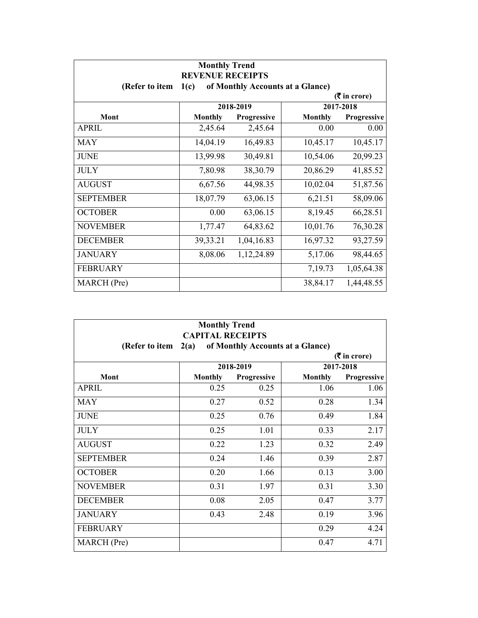| <b>Monthly Trend</b><br><b>REVENUE RECEIPTS</b>       |                |                                  |                |                    |
|-------------------------------------------------------|----------------|----------------------------------|----------------|--------------------|
| (Refer to item                                        | 1(c)           | of Monthly Accounts at a Glance) |                |                    |
| $(3\overline{5})$ in crore)<br>2017-2018<br>2018-2019 |                |                                  |                |                    |
| Mont                                                  | <b>Monthly</b> | <b>Progressive</b>               | <b>Monthly</b> | <b>Progressive</b> |
| <b>APRIL</b>                                          | 2,45.64        | 2,45.64                          | 0.00           | 0.00               |
| <b>MAY</b>                                            | 14,04.19       | 16,49.83                         | 10,45.17       | 10,45.17           |
| <b>JUNE</b>                                           | 13,99.98       | 30,49.81                         | 10,54.06       | 20,99.23           |
| <b>JULY</b>                                           | 7,80.98        | 38,30.79                         | 20,86.29       | 41,85.52           |
| <b>AUGUST</b>                                         | 6,67.56        | 44,98.35                         | 10,02.04       | 51,87.56           |
| <b>SEPTEMBER</b>                                      | 18,07.79       | 63,06.15                         | 6,21.51        | 58,09.06           |
| <b>OCTOBER</b>                                        | 0.00           | 63,06.15                         | 8,19.45        | 66,28.51           |
| <b>NOVEMBER</b>                                       | 1,77.47        | 64,83.62                         | 10,01.76       | 76,30.28           |
| <b>DECEMBER</b>                                       | 39,33.21       | 1,04,16.83                       | 16,97.32       | 93,27.59           |
| <b>JANUARY</b>                                        | 8,08.06        | 1, 12, 24.89                     | 5,17.06        | 98,44.65           |
| <b>FEBRUARY</b>                                       |                |                                  | 7,19.73        | 1,05,64.38         |
| MARCH (Pre)                                           |                |                                  | 38,84.17       | 1,44,48.55         |

| <b>Monthly Trend</b><br><b>CAPITAL RECEIPTS</b>            |                |             |                |             |  |
|------------------------------------------------------------|----------------|-------------|----------------|-------------|--|
| 2(a)<br>of Monthly Accounts at a Glance)<br>(Refer to item |                |             |                |             |  |
| $($ ₹ in crore)                                            |                |             |                |             |  |
|                                                            |                | 2018-2019   |                | 2017-2018   |  |
| Mont                                                       | <b>Monthly</b> | Progressive | <b>Monthly</b> | Progressive |  |
| <b>APRIL</b>                                               | 0.25           | 0.25        | 1.06           | 1.06        |  |
| <b>MAY</b>                                                 | 0.27           | 0.52        | 0.28           | 1.34        |  |
| <b>JUNE</b>                                                | 0.25           | 0.76        | 0.49           | 1.84        |  |
| <b>JULY</b>                                                | 0.25           | 1.01        | 0.33           | 2.17        |  |
| <b>AUGUST</b>                                              | 0.22           | 1.23        | 0.32           | 2.49        |  |
| <b>SEPTEMBER</b>                                           | 0.24           | 1.46        | 0.39           | 2.87        |  |
| <b>OCTOBER</b>                                             | 0.20           | 1.66        | 0.13           | 3.00        |  |
| <b>NOVEMBER</b>                                            | 0.31           | 1.97        | 0.31           | 3.30        |  |
| <b>DECEMBER</b>                                            | 0.08           | 2.05        | 0.47           | 3.77        |  |
| <b>JANUARY</b>                                             | 0.43           | 2.48        | 0.19           | 3.96        |  |
| <b>FEBRUARY</b>                                            |                |             | 0.29           | 4.24        |  |
| MARCH (Pre)                                                |                |             | 0.47           | 4.71        |  |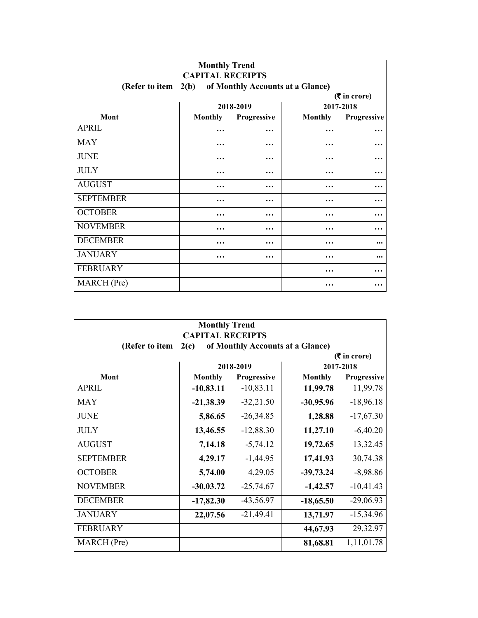| <b>Monthly Trend</b><br><b>CAPITAL RECEIPTS</b><br>of Monthly Accounts at a Glance)<br>(Refer to item $2(b)$ |                |                    |                      |             |                             |
|--------------------------------------------------------------------------------------------------------------|----------------|--------------------|----------------------|-------------|-----------------------------|
|                                                                                                              |                |                    |                      |             | $(3\overline{5})$ in crore) |
|                                                                                                              |                | 2018-2019          |                      | 2017-2018   |                             |
| Mont                                                                                                         | <b>Monthly</b> | <b>Progressive</b> | <b>Monthly</b>       | Progressive |                             |
| <b>APRIL</b>                                                                                                 | $\ddotsc$      | $\ddotsc$          |                      | $\ddotsc$   |                             |
| <b>MAY</b>                                                                                                   | $\ddotsc$      | $\ddotsc$          | .                    | $\ddotsc$   |                             |
| <b>JUNE</b>                                                                                                  |                | $\ddotsc$          |                      | $\ddotsc$   |                             |
| <b>JULY</b>                                                                                                  | $\ddotsc$      | $\ddotsc$          | $\ddotsc$            | $\ddotsc$   |                             |
| <b>AUGUST</b>                                                                                                | $\ddotsc$      | $\ddotsc$          | .                    |             |                             |
| <b>SEPTEMBER</b>                                                                                             |                | $\ddotsc$          | $\ddot{\phantom{0}}$ | $\ddotsc$   |                             |
| <b>OCTOBER</b>                                                                                               | $\ddotsc$      | $\ddotsc$          | .                    | $\ddotsc$   |                             |
| <b>NOVEMBER</b>                                                                                              | .              | .                  | .                    | $\ddotsc$   |                             |
| <b>DECEMBER</b>                                                                                              | .              | .                  | $\ddotsc$            |             |                             |
| <b>JANUARY</b>                                                                                               | $\ddotsc$      |                    | .                    |             |                             |
| <b>FEBRUARY</b>                                                                                              |                |                    | $\ddotsc$            | $\ddotsc$   |                             |
| <b>MARCH</b> (Pre)                                                                                           |                |                    | $\ddotsc$            | $\ddotsc$   |                             |

| <b>Monthly Trend</b><br><b>CAPITAL RECEIPTS</b> |                                          |             |                |                               |  |  |
|-------------------------------------------------|------------------------------------------|-------------|----------------|-------------------------------|--|--|
| (Refer to item                                  | of Monthly Accounts at a Glance)<br>2(c) |             |                |                               |  |  |
|                                                 |                                          |             |                | $(5 \text{ in } \text{core})$ |  |  |
|                                                 |                                          | 2018-2019   |                | 2017-2018                     |  |  |
| Mont                                            | <b>Monthly</b>                           | Progressive | <b>Monthly</b> | Progressive                   |  |  |
| <b>APRIL</b>                                    | $-10,83.11$                              | $-10,83.11$ | 11,99.78       | 11,99.78                      |  |  |
| <b>MAY</b>                                      | $-21,38.39$                              | $-32,21.50$ | $-30,95.96$    | $-18,96.18$                   |  |  |
| <b>JUNE</b>                                     | 5,86.65                                  | $-26,34.85$ | 1,28.88        | $-17,67.30$                   |  |  |
| <b>JULY</b>                                     | 13,46.55                                 | $-12,88.30$ | 11,27.10       | $-6,40.20$                    |  |  |
| <b>AUGUST</b>                                   | 7,14.18                                  | $-5,74.12$  | 19,72.65       | 13,32.45                      |  |  |
| <b>SEPTEMBER</b>                                | 4,29.17                                  | $-1,44.95$  | 17,41.93       | 30,74.38                      |  |  |
| <b>OCTOBER</b>                                  | 5,74.00                                  | 4,29.05     | $-39,73.24$    | $-8,98.86$                    |  |  |
| <b>NOVEMBER</b>                                 | $-30,03.72$                              | $-25,74.67$ | $-1,42.57$     | $-10,41.43$                   |  |  |
| <b>DECEMBER</b>                                 | $-17,82.30$                              | $-43,56.97$ | $-18,65.50$    | $-29,06.93$                   |  |  |
| <b>JANUARY</b>                                  | 22,07.56                                 | $-21,49.41$ | 13,71.97       | $-15,34.96$                   |  |  |
| <b>FEBRUARY</b>                                 |                                          |             | 44,67.93       | 29,32.97                      |  |  |
| MARCH (Pre)                                     |                                          |             | 81,68.81       | 1,11,01.78                    |  |  |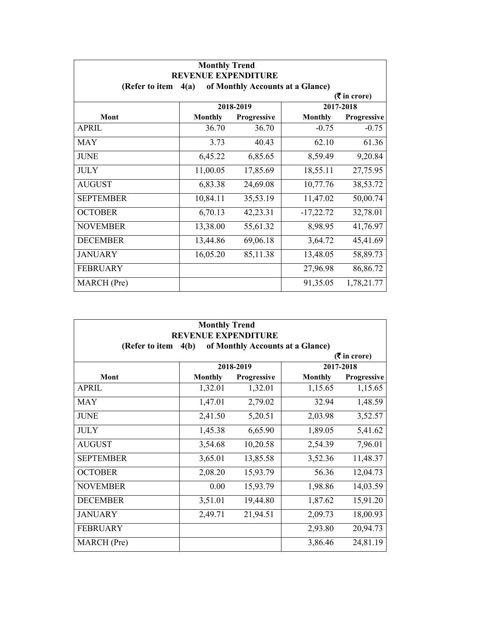| <b>Monthly Trend</b>                                                                     |                |             |                |                    |  |
|------------------------------------------------------------------------------------------|----------------|-------------|----------------|--------------------|--|
| <b>REVENUE EXPENDITURE</b><br>of Monthly Accounts at a Glance)<br>(Refer to item<br>4(a) |                |             |                |                    |  |
| $(3\overline{5})$ in crore)                                                              |                |             |                |                    |  |
|                                                                                          |                | 2018-2019   |                | 2017-2018          |  |
| Mont                                                                                     | <b>Monthly</b> | Progressive | <b>Monthly</b> | <b>Progressive</b> |  |
| <b>APRIL</b>                                                                             | 36.70          | 36.70       | $-0.75$        | $-0.75$            |  |
| <b>MAY</b>                                                                               | 3.73           | 40.43       | 62.10          | 61.36              |  |
| <b>JUNE</b>                                                                              | 6,45.22        | 6,85.65     | 8,59.49        | 9,20.84            |  |
| <b>JULY</b>                                                                              | 11,00.05       | 17,85.69    | 18,55.11       | 27,75.95           |  |
| <b>AUGUST</b>                                                                            | 6,83.38        | 24,69.08    | 10,77.76       | 38,53.72           |  |
| <b>SEPTEMBER</b>                                                                         | 10,84.11       | 35,53.19    | 11,47.02       | 50,00.74           |  |
| <b>OCTOBER</b>                                                                           | 6,70.13        | 42,23.31    | $-17,22.72$    | 32,78.01           |  |
| <b>NOVEMBER</b>                                                                          | 13,38.00       | 55,61.32    | 8,98.95        | 41,76.97           |  |
| <b>DECEMBER</b>                                                                          | 13,44.86       | 69,06.18    | 3,64.72        | 45,41.69           |  |
| <b>JANUARY</b>                                                                           | 16,05.20       | 85,11.38    | 13,48.05       | 58,89.73           |  |
| <b>FEBRUARY</b>                                                                          |                |             | 27,96.98       | 86,86.72           |  |
| MARCH (Pre)                                                                              |                |             | 91,35.05       | 1,78,21.77         |  |

| <b>Monthly Trend</b><br><b>REVENUE EXPENDITURE</b>         |                |                    |                |                               |  |
|------------------------------------------------------------|----------------|--------------------|----------------|-------------------------------|--|
| 4(b)<br>of Monthly Accounts at a Glance)<br>(Refer to item |                |                    |                |                               |  |
|                                                            |                |                    |                | $(5 \text{ in } \text{core})$ |  |
|                                                            |                | 2018-2019          |                | 2017-2018                     |  |
| Mont                                                       | <b>Monthly</b> | <b>Progressive</b> | <b>Monthly</b> | Progressive                   |  |
| <b>APRIL</b>                                               | 1,32.01        | 1,32.01            | 1,15.65        | 1,15.65                       |  |
| <b>MAY</b>                                                 | 1,47.01        | 2,79.02            | 32.94          | 1,48.59                       |  |
| <b>JUNE</b>                                                | 2,41.50        | 5,20.51            | 2,03.98        | 3,52.57                       |  |
| <b>JULY</b>                                                | 1,45.38        | 6,65.90            | 1,89.05        | 5,41.62                       |  |
| <b>AUGUST</b>                                              | 3,54.68        | 10,20.58           | 2,54.39        | 7,96.01                       |  |
| <b>SEPTEMBER</b>                                           | 3,65.01        | 13,85.58           | 3,52.36        | 11,48.37                      |  |
| <b>OCTOBER</b>                                             | 2,08.20        | 15,93.79           | 56.36          | 12,04.73                      |  |
| <b>NOVEMBER</b>                                            | 0.00           | 15,93.79           | 1,98.86        | 14,03.59                      |  |
| <b>DECEMBER</b>                                            | 3,51.01        | 19,44.80           | 1,87.62        | 15,91.20                      |  |
| <b>JANUARY</b>                                             | 2,49.71        | 21,94.51           | 2,09.73        | 18,00.93                      |  |
| <b>FEBRUARY</b>                                            |                |                    | 2,93.80        | 20,94.73                      |  |
| MARCH (Pre)                                                |                |                    | 3,86.46        | 24,81.19                      |  |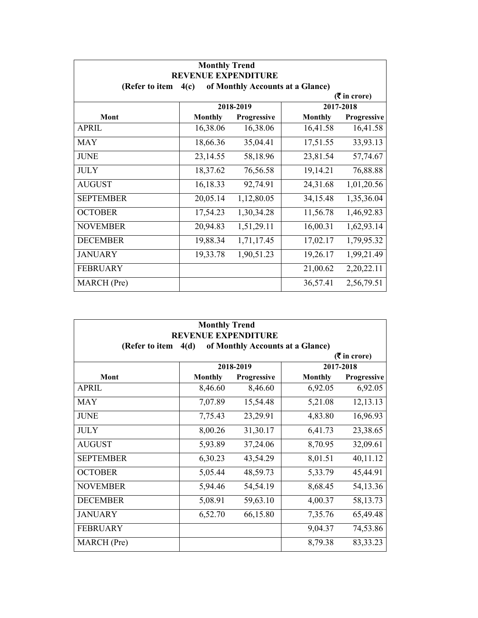| <b>Monthly Trend</b><br><b>REVENUE EXPENDITURE</b>         |                |             |                |             |  |
|------------------------------------------------------------|----------------|-------------|----------------|-------------|--|
| of Monthly Accounts at a Glance)<br>(Refer to item<br>4(c) |                |             |                |             |  |
| $(3\overline{5})$ in crore)                                |                |             |                |             |  |
|                                                            |                | 2018-2019   |                | 2017-2018   |  |
| Mont                                                       | <b>Monthly</b> | Progressive | <b>Monthly</b> | Progressive |  |
| <b>APRIL</b>                                               | 16,38.06       | 16,38.06    | 16,41.58       | 16,41.58    |  |
| <b>MAY</b>                                                 | 18,66.36       | 35,04.41    | 17,51.55       | 33,93.13    |  |
| <b>JUNE</b>                                                | 23,14.55       | 58,18.96    | 23,81.54       | 57,74.67    |  |
| <b>JULY</b>                                                | 18,37.62       | 76,56.58    | 19,14.21       | 76,88.88    |  |
| <b>AUGUST</b>                                              | 16,18.33       | 92,74.91    | 24,31.68       | 1,01,20.56  |  |
| <b>SEPTEMBER</b>                                           | 20,05.14       | 1,12,80.05  | 34,15.48       | 1,35,36.04  |  |
| <b>OCTOBER</b>                                             | 17,54.23       | 1,30,34.28  | 11,56.78       | 1,46,92.83  |  |
| <b>NOVEMBER</b>                                            | 20,94.83       | 1,51,29.11  | 16,00.31       | 1,62,93.14  |  |
| <b>DECEMBER</b>                                            | 19,88.34       | 1,71,17.45  | 17,02.17       | 1,79,95.32  |  |
| <b>JANUARY</b>                                             | 19,33.78       | 1,90,51.23  | 19,26.17       | 1,99,21.49  |  |
| <b>FEBRUARY</b>                                            |                |             | 21,00.62       | 2,20,22.11  |  |
| MARCH (Pre)                                                |                |             | 36,57.41       | 2,56,79.51  |  |

| <b>Monthly Trend</b><br><b>REVENUE EXPENDITURE</b>         |                |             |                |             |  |
|------------------------------------------------------------|----------------|-------------|----------------|-------------|--|
| of Monthly Accounts at a Glance)<br>(Refer to item<br>4(d) |                |             |                |             |  |
| $(5 \text{ in } \text{core})$                              |                |             |                |             |  |
|                                                            |                | 2018-2019   |                | 2017-2018   |  |
| Mont                                                       | <b>Monthly</b> | Progressive | <b>Monthly</b> | Progressive |  |
| <b>APRIL</b>                                               | 8,46.60        | 8,46.60     | 6,92.05        | 6,92.05     |  |
| <b>MAY</b>                                                 | 7,07.89        | 15,54.48    | 5,21.08        | 12,13.13    |  |
| <b>JUNE</b>                                                | 7,75.43        | 23,29.91    | 4,83.80        | 16,96.93    |  |
| <b>JULY</b>                                                | 8,00.26        | 31,30.17    | 6,41.73        | 23,38.65    |  |
| <b>AUGUST</b>                                              | 5,93.89        | 37,24.06    | 8,70.95        | 32,09.61    |  |
| <b>SEPTEMBER</b>                                           | 6,30.23        | 43,54.29    | 8,01.51        | 40,11.12    |  |
| <b>OCTOBER</b>                                             | 5,05.44        | 48,59.73    | 5,33.79        | 45,44.91    |  |
| <b>NOVEMBER</b>                                            | 5,94.46        | 54,54.19    | 8,68.45        | 54,13.36    |  |
| <b>DECEMBER</b>                                            | 5,08.91        | 59,63.10    | 4,00.37        | 58, 13. 73  |  |
| <b>JANUARY</b>                                             | 6,52.70        | 66,15.80    | 7,35.76        | 65,49.48    |  |
| <b>FEBRUARY</b>                                            |                |             | 9,04.37        | 74,53.86    |  |
| MARCH (Pre)                                                |                |             | 8,79.38        | 83, 33. 23  |  |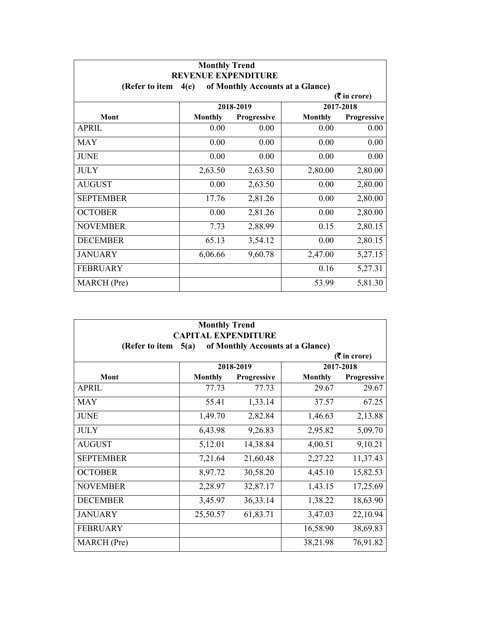| <b>Monthly Trend</b><br><b>REVENUE EXPENDITURE</b>         |                |                    |                |                    |  |
|------------------------------------------------------------|----------------|--------------------|----------------|--------------------|--|
| of Monthly Accounts at a Glance)<br>(Refer to item<br>4(e) |                |                    |                |                    |  |
| $(3\overline{5})$ in crore)                                |                |                    |                |                    |  |
|                                                            |                | 2018-2019          |                | 2017-2018          |  |
| Mont                                                       | <b>Monthly</b> | <b>Progressive</b> | <b>Monthly</b> | <b>Progressive</b> |  |
| <b>APRIL</b>                                               | 0.00           | 0.00               | 0.00           | 0.00               |  |
| <b>MAY</b>                                                 | 0.00           | 0.00               | 0.00           | 0.00               |  |
| <b>JUNE</b>                                                | 0.00           | 0.00               | 0.00           | 0.00               |  |
| <b>JULY</b>                                                | 2,63.50        | 2,63.50            | 2,80.00        | 2,80.00            |  |
| <b>AUGUST</b>                                              | 0.00           | 2,63.50            | 0.00           | 2,80.00            |  |
| <b>SEPTEMBER</b>                                           | 17.76          | 2,81.26            | 0.00           | 2,80.00            |  |
| <b>OCTOBER</b>                                             | 0.00           | 2,81.26            | 0.00           | 2,80.00            |  |
| <b>NOVEMBER</b>                                            | 7.73           | 2,88.99            | 0.15           | 2,80.15            |  |
| <b>DECEMBER</b>                                            | 65.13          | 3,54.12            | 0.00           | 2,80.15            |  |
| <b>JANUARY</b>                                             | 6,06.66        | 9,60.78            | 2,47.00        | 5,27.15            |  |
| <b>FEBRUARY</b>                                            |                |                    | 0.16           | 5,27.31            |  |
| MARCH (Pre)                                                |                |                    | 53.99          | 5,81.30            |  |

| <b>Monthly Trend</b>                                                                     |                |                    |                |                    |  |  |  |
|------------------------------------------------------------------------------------------|----------------|--------------------|----------------|--------------------|--|--|--|
| <b>CAPITAL EXPENDITURE</b><br>of Monthly Accounts at a Glance)<br>(Refer to item<br>5(a) |                |                    |                |                    |  |  |  |
| $(5 \text{ in } \text{core})$                                                            |                |                    |                |                    |  |  |  |
|                                                                                          | 2018-2019      |                    |                | 2017-2018          |  |  |  |
| <b>Mont</b>                                                                              | <b>Monthly</b> | <b>Progressive</b> | <b>Monthly</b> | <b>Progressive</b> |  |  |  |
| <b>APRIL</b>                                                                             | 77.73          | 77.73              | 29.67          | 29.67              |  |  |  |
| <b>MAY</b>                                                                               | 55.41          | 1,33.14            | 37.57          | 67.25              |  |  |  |
| <b>JUNE</b>                                                                              | 1,49.70        | 2,82.84            | 1,46.63        | 2,13.88            |  |  |  |
| <b>JULY</b>                                                                              | 6,43.98        | 9,26.83            | 2,95.82        | 5,09.70            |  |  |  |
| <b>AUGUST</b>                                                                            | 5,12.01        | 14,38.84           | 4,00.51        | 9,10.21            |  |  |  |
| <b>SEPTEMBER</b>                                                                         | 7,21.64        | 21,60.48           | 2,27.22        | 11,37.43           |  |  |  |
| <b>OCTOBER</b>                                                                           | 8,97.72        | 30,58.20           | 4,45.10        | 15,82.53           |  |  |  |
| <b>NOVEMBER</b>                                                                          | 2,28.97        | 32,87.17           | 1,43.15        | 17,25.69           |  |  |  |
| <b>DECEMBER</b>                                                                          | 3,45.97        | 36, 33. 14         | 1,38.22        | 18,63.90           |  |  |  |
| <b>JANUARY</b>                                                                           | 25,50.57       | 61,83.71           | 3,47.03        | 22,10.94           |  |  |  |
| <b>FEBRUARY</b>                                                                          |                |                    | 16,58.90       | 38,69.83           |  |  |  |
| MARCH (Pre)                                                                              |                |                    | 38,21.98       | 76,91.82           |  |  |  |